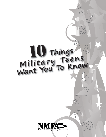# **Things Mili <sup>t</sup> <sup>a</sup> <sup>r</sup> <sup>y</sup> Te en <sup>s</sup> Want You To Know**

7

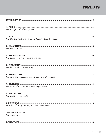## **CONTENTS**

| We are proud of our parents.                       |
|----------------------------------------------------|
| We think about war and we know what it means.      |
| We move. A lot.                                    |
| We take on a lot of responsibility.                |
| We live in the community.                          |
| We appreciate recognition of our family's service. |
| We value diversity and new experiences.            |
| We miss our parents.                               |
| In a lot of ways we're just like other teens.      |
| We serve too.                                      |
|                                                    |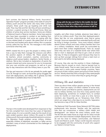### introduction

Each summer, the National Military Family Association's *Operation Purple®* program provides a free week of camp for military youth around the world. Like many other summer campers, these youth may go kayaking and climb rock walls. They may hike and fish. But they all have something in common—a parent serving in the Armed Forces. Most are children of active duty service members. Some are children of National Guard or Reserve members. Some have parents who have been wounded in combat or are battling Post-Traumatic Stress Disorder. And some are coping with the service-related death of a parent. We asked them all to tell us the best and hardest parts about military life in a popular activity called the Top Ten list. The messages in this toolkit summarize what they said.

NMFA created this kit to give the people in military teens' lives a way to help them manage the stressors and affirm the positive aspects of military life. These people may be teachers, school counselors, coaches, community or religious youth group leaders, neighbors, family friends, or relatives. We've also included an explanation of points the campers shared and some resources for you to incorporate into your own activities and programs, as well as in your day-to-day interactions with the military teens in your life.

The tips and resources in this kit are primarily for youths aged 11 to 18. Through our work, we found this group struggles the most with deployments, and military life in general, but little information is available about how to help them.

An average military child moves An average military chility<br>six to nine times between kindergarten<br>six to nine times school graduation. An average military child moves<br>to nine times between kindergar<br>and high school graduation. fact:

The tips in this toolkit were developed from responses to Top Ten lists compiled from more than four years of *Operation Purple* camps. It is not a scientific study, but the result of one open-ended question about military life posed to 10,000 military youth. Not surprisingly, these kids had a lot in common. The *Operation Purple* program serves military children, especially children of deployed, wounded, or fallen service members, many of whom commented on the challenges of deployments.

Along with the tips you'll find in this toolkit, the best *thing you can do for a military teen is know who they are and be there when they need someone to talk to.*

Lengthy, and often times multiple, absences have taken a toll on our military youth. They miss their deployed parent. Many feel like no one understands what they're going through. Some are separated from extended family and may be living in foreign countries. Since most military children attend civilian schools and many military families don't live on a military installation, these youth are surrounded by peers from their civilian neighborhoods. That's ok, except when they see news of a roadside bomb near where their dad or mom is deployed and they've got a test at school that day. Or they've dropped a sport because they have to pick up their younger siblings from school, a task mom or dad used to do before being deployed.

Of course, they also see the positive in those challenges. Because they've moved so much, they've learned how to make friends easily. They've seen many parts of the United States and in some cases several foreign countries. Teens are proud of their military parent and proud of their family's service. Mostly what they told us though is they need people in their community to know what they're going through.

#### Military life and statistics

There are about three million people serving in the Armed Forces. There are nearly 1.8 million children of active duty, National Guard, and Reserve parents. Deployments are not new to military families, but since 9/11 many parents have been deploying, sometimes on multiple tours, to combat zones for months or more than a year at a time. Service members also frequently go on Temporary Duty (TDY), which can range from a few days to six months. Separation has become a way of life for these families.

The National Child Traumatic Stress Network (NCTSN) states professionals who become "familiar with the particular risks that can compromise a military child's health and development" can reduce the stress military youth face. The NCTSN also states those at a high risk for stress include youth who have endured multiple deployments, those who do not live close to military communities, and National Guard and Reserve youth. Today's world requires everyone to be engaged with the community of youth who support our Nation's Armed Forces.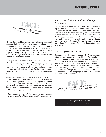Over 1 million military children<br>attend U.S. Public children attend U.S. Public schools. **FACT:** 

National Guard and Reserve deployments have an additional effect on their youth. When these service members deploy, their entire family becomes active duty and they are entitled to the benefits and resources of active duty families. For some, that means their health care switches to military physicians. Everyone's pay is affected. The service member's salary will change from their civilian job's salary to the military pay and benefit system.

It's important to remember that each Service—the Army, Navy, Air Force, Marine Corps, and Coast Guard—is unique. Each one plays a distinct role defending the Nation, and each has a reserve component that traditionally serves one weekend a month and two weeks of training a year. Some Services deploy more than others. Some deploy longer than others.

Given the different nature of each Service and of active or reserve status, what these teens said about military life will not apply to all youth equally. Rather, each point is a theme that emerged from their collective voices. Also, each tip is just a start. As someone who works with youth, we hope this will help you generate new ideas to meet the needs of military teens in your community.

*TriWest addresses many of these topics on their website,*  www.triwest.com. For additional resources visit www.tricare.mil.

#### About the National Military Family Association

The National Military Family Association, the only nonprofit organization that represents families of all ranks and Services and prepares spouses, children, and parents to better deal with the unique challenges of military life. The Association protects benefits vital to all families, including those of the deployed, wounded, and fallen. For nearly 40 years, its staff and volunteers, comprised mostly of military family members, have built a reputation as the leading experts on military family issues. For more information, visit *www.nmfa.org*.

#### About Operation Purple

*Operation Purple* Camps are a program of NMFA that provides a free week of summer camp to children of the deployed, wounded, and fallen. Kids range in age from 8 to 18. They learn coping skills, bond with others who understand what they're going through, and de-stress through the healing environment of the outdoors. Camps take place each summer. The program began in 2004 and served 1,000 military kids. Four years later, through the generous support of corporate and nonprofit sponsors, the program reached 10,000 youth in 37 states and 7 countries.

More than 600,000 military children are we chan dood and high school age kids. FACT:

> *For more information, visit NMFA on the web at www.nmfa.org*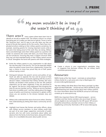# My mom wouldn't be in Iraq if " she wasn't thinking of us.

There  $\ aren't$  many careers where teens learn how to identify an aircraft or explain rank. The military culture is so unique that being part of it makes you feel kind of special. Throw in terms like "American hero" and it's easy to see why teens say they are proud of the job their parents do for the country. Teens have complicated emotions relating to their military parents sometimes, for example, resenting parents for missing important events while at the same time being proud of the work they are doing. Military teens overwhelmingly name their military parent as a positive role model. As someone who works with teens, you know these years can be tumultuous. Ensuring they have a support structure when they may not have extended family or their military parent around is critical. Strengthen the bond with parents with these strategies:

- $\star$  Invite the military parent to your organization to talk about the role they play in the Service. This can be especially helpful when the parent comes home from a deployment. It gives the teen a chance to show how proud they are of their parent without saying a word.
- Distinguish between the parent's service and politics of war. Youth are able to separate the two and be proud of their military parent without necessarily agreeing with the country's decision makers. Understand that military families, like many families, are divided in their position on the war. Still, political statements can be taken negatively if they are perceived to be "against" the Service. Using statements that recognize the duty of a service member such as, "While our service members have done incredible work," and then talking about the bigger issues of politics and American involvement in global conflict shows you are sensitive to the division between duty and debate.
- Military kids understand the value of service to others. Develop that understanding by letting them lead a community service event.
- Highlight local heroes like firemen and police officers, along with military service members, to show military youth they are part of an even larger supportive community of public servants who live with some uncertainty about safety and absence from the family. Invite those teens, along with military teens, for a roundtable discussion about public service.



Create a column in your organization's newsletter, blog, or magazine that discusses military life. Let military teens contribute personal essays.

#### Resources:

NMFA *Family of the Year* Award – nominate an extraordinary military family for a cash prize and a trip to Washington D.C. at *www.nmfa.org/familyaward*.

"My Hero: Military Kids Write About Their Moms and Dads" by Allen Appel and Mark Rothmiller – Armed Services YMCA (ASYMCA) youth tell heartwarming and candid stories about their military parents. For more information about the ASYMCA's annual art and essay contests go to *www.asymca.org*.

NMFA *Very Important Patriot* (VIP) Award program – service members and their family members who are at least 18 years old are eligible to be nominated for the VIP award. VIP winners exemplify extraordinary volunteer service to their military or neighboring community. Nominate a VIP at *www.nmfa.org/vip*.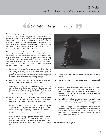# **SSBe safe a little bit longer.**<br>Inly see war on the news and can separate<br>Military youth can't always do that. Their 99

Most of us only see war on the news and can separate it from our daily lives. Military youth can't always do that. Their parents go to war. The news is real life for them. Deployed parents can be gone for as long as 18 months at a time and serve multiple deployments. With the unprecedented deployments of the National Guard and Reserve, it's especially important for schools to be aware of those teens going through the transition to active duty life and a deployment at the same time.

Military teens understand the realities of war. They worry if the deployment will be extended or if their parent will be different when he or she returns. But they also feel for the parent at home. They may take on responsibilities the deployed parent used to carry, such as getting younger siblings to school and sports or helping with homework. These teens have a lot on their minds in addition to normal concerns like friends, sports, and school. Here are ways to ease the worry during this time:

- Be honest with them. Teens and pre-teens know the real consequences of war, but they can also grasp facts that younger children can't, such as the understanding that most people return uninjured, the concept of just how long a year is, and the usefulness of practical coping strategies.
- + Connect with the parent at home. That person will give you a better picture of what the teen is going through.
- + Understand the emotional cycles of deployment—Anticipation of Departure, Detachment and Withdrawal, Emotional Disorganization, Recovery and Stabilization, Anticipation of Return, Return Adjustment and Re-negotiation, Reintegration and Stabilization—and how each phase can affect a teen.
- $\star$  Be aware of even casual discussions about war. Naturally, military youth will take perspectives on conflict a little more to heart when their mom or dad is deployed or fighting.
- $\star$  Distinguish between the parent's service and politics of war. Youth are able to separate the two and be proud of their military parent without necessarily agreeing with the country's decision makers. Understand that military families, like many families, are divided in their position on the war.
- $\star$  Listen to them. Having a person outside their home who knows the situation gives the youth a safe place to talk about the deployment. Many times a teen won't share information with their parent who is still at home for fear of "rocking the boat."



- Be sure the onsite school counselor knows if a teen's parent is deployed.
- Send care packages from your group to the youth's deployed parent.
- $\star$  When possible, be accommodating with class work due dates. Discuss the student's work habits and work load with their parent or caregiver. There might be an activity affecting their performance that should be considered. However, keeping things routine is often best.
- $\star$  Work with your school system to establish a policy that accommodates families dealing with separation good-byes and reunions as well as Rest and Recuperation (R&R) leave.
- Be neutral. Language is powerful. Using terms like "parents" for back to school nights, fairs, or permission slips automatically assumes every teen has two parents at home or even just one parent at home. Create an environment where single parents and grandparents feel welcome.

▶ Resources on page 7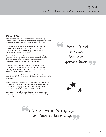#### Resources:

"Parents' deployment draws mixed emotions from teens" by Barbara L. Micale, Virginia Tech National Capital Region can be found at *www.research.vt.edu/resmag/ResearchMagJan06/deploy.html*.

"Resilience in a time of War" by the American Psychological Association - Tips for Parents and Teachers of Teens at *http://apahelpcenter.org/dl/resilience\_in\_a\_time\_of\_war-tips\_ for\_parents\_and\_teachers\_of\_teens.pdf.*

National Child Traumatic Stress Network – identifying military youth who are at high risk for traumatic stress and information resources for educators and mental health professionals at *www.nctsnet.org/nccts/nav.do?pid=ctr\_top\_military.* 

Children, Youth and Families Education and Research Network – researched-based information for parents, teachers and family support leaders working with children of service members at *www.cyfernet.org/hottopic/warres.htm*l.

American Academy of Pediatrics – Support for Military Children and Adolescents at *www.aap.org/sections/uniformedservices/deployment/ index.html*.

Strategic Outreach to Families of All Reservists – a comprehensive guide on how deployments uniquely affect children and teens of reserve component service members at *www.nmfa.org/site/ DocServer/SOFAR\_Children\_Pamphlet.pdf?docID=6661*.

Learn about the emotional cycle of deployment and ways teens may react at *www.hooah4health.com/deployment/familymatters/ emotionalcycle.htm*.

I hope it's not him on the news getting hurt. **99** "



It's hard when he deploys, " so I have to keep busy.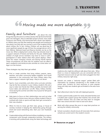# 66 Moving made me more adaptable.

### Family and furniture are about the only

things that stay the same in a military family's life. By the time the kids grow into teenagers, they've attended several schools, have made numerous new friends, and memorized half a dozen new addresses. Military teens say they like meeting new people and traveling to new places, but they also say moving is one of the toughest things about military life. In fact, military children will say good-bye to more significant people by age 18 than the average person will in their lifetime. National Guard and Reserve families can be on the move, too. When a deployment comes, they may relocate closer to a support network of friends and family for the year. Additionally, children of single service members may have to move in with a grandparent or other relative when their parent deploys. Oftentimes this means changing schools and leaving friends behind. These circumstances can pose risks for isolation and can affect a teen's academics and extracurricular activities at a time when college is on the horizon.

These strategies may help them get settled:

- $\star$  Find or create activities that bring military parents, teens, teachers, and other community leaders together. You'll build awareness in the community and show military teens they have a support network right away—they're not alone!
- $\star$  Sports, music ensembles, and other extra-curricular activities may be the few constants in your military student's life and a way to make new friends fast. When possible, be lenient with tryout dates and admission cut-offs. Many military families move during the summer and often miss tryouts for fall sports or activities.
- Help teens to focus on their relationships now and not what they'll lose in a future move. Ask your military student if they're involved with clubs or sports and help them get connected in their new situation.
- When it's time to move, get their class, group, or house of worship involved in keeping the relationship going through email and social networking sites. Start your own Facebook group!
- Create relationships with the local military installation or reserve component units through cooperative activities. The military is bursting with professionals using the latest technology and



medicine who might be willing to talk about their jobs. When there is a move or deployment, you are connected with this important resource and can get new teens plugged into their military resources right away.

- $\star$  Schools can create a "welcome wagon" packet filled with information for students transferring in the middle of the school year. Contacts for local resources or even popular hang outs help new students get acclimated to the area more quickly.
- Start afterschool clubs for kids with deployed parents.
- $\star$  Create a parent buddy system for newly relocated families and a student peer support group that matches new arrivals with student mentors who can make sure they learn to navigate their new school and don't have to eat lunch alone.
- $\star$  Work with other groups like yours to swap best practices on serving the military community.
- School counselors should ensure all transcripts from previous schools are current and in the student's record.

**Resources on page 9**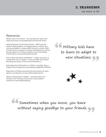## 3. transition

We move. A lot.

#### Resources:

Military Teens on the Move – Tips and advice for teens, with stories from teens at *www.defenselink.mil/mtom/t4\_41.htm*.

National Network of Partnership Schools – NNPS provides research-based guidance on engaging parents, schools, and community leaders to create student success in schools. NNPS provides technical support for program development to schools serving children from military families as part of the Military Child Initiative at *www.partnershipschools.org*.

Third Culture Kids World (TCKWORLD) – children who grow up outside their home or parents' culture are called Third Culture Kids. Read the stories of TCKs at *www.tckworld.com*.

State Department Information on children in transition from a Foreign Service perspective at www.state.gov/m/dghr/flo/c21995.htm.

Department of Defense sponsored site with sections for teens, parents, and educators at *www.militarystudent.dod.mil*.

Military Child Education Coalition – provides parents and educators with training and resources to ease students' transitions at *www.militarychild.org*.

Military kids have to learn to adapt to new situations. **SS** 66<br>t



Sometimes when you move, you leave " without saying goodbye to your friends.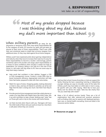### Most of my grades dropped because I was thinking about my dad, because my dad's more important than school.  $\frac{66}{1}$ 99

When military parents go away for deployments or Temporary Duty (TDY), their family responsibilities fall to the caregiver at home. It's common for teens and pre-teens to assume at least some of those responsibilities. They'll even stifle their own emotional needs to shield their at-home caregiver from additional stress. Or they may rebel against the at-home caregiver.

Military youth have expressed pride about gaining independence and maturity when they have to increase their load, but it's easy for these responsibilities to become a burden. Unknowingly, parents sometimes add to this burden and assign adult responsibilities as a means to show confidence when actually it creates too high an expectation. For instance, telling a son that he is the man of the house is a tall order with big shoes to fill. Here are some ways to help them keep a balance:

- $\star$  Help youth feel confident in their abilities. Suggest a CPR or time management course. Conduct a study skills class to boost homework efficiency. Appropriate instruction will help them feel better prepared to deal with their extra duties.
- $\star$  Watch for signs of stress. Dropping grades, looking distracted or tired in class, and loss of interest in activities can all be red flags that the teen is doing too much. Ask them how they're doing.
- Provide practical time management tools like a daily planner or create a fun bag filled with helpful items like sticky notes. Mix it up with reminders to take a break. Nothing says "relax" like an iTunes gift card or trip to the movies with some friends.
- $\star$  Let them be kids when they're with you. Teenagers still have the child inside of them who just wants to have fun. Give them a safe place where they can unwind.



- Ask how their school, house of worship, or club can support the family. Mowing the lawn, carpooling, tutoring, or babysitting younger siblings are ways to shoulder some of the tasks the military youth may have taken on while dad or mom is away. Be specific with your offer. Saying, "We'd like to have your family over for dinner this week," feels less like charity than "Do you need help with meals?"
- Keep a list of referral services handy. There are a lot of organizations that offer reduced-cost practical assistance such as finding child care for parents with deployed partners, lawn care, or mental health counseling. Some are listed in the resources section below.

#### **Resources on page 11**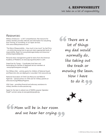### 4. responsibility

We take on a lot of responsibility.

#### Resources:

Military OneSource – a 24/7 comprehensive, free resource for military families provides referrals and information for everything from moving, to counseling, to car repair services. Visit *www.militaryonesource.com*.

"The Role of Responsibility – How much is too much" by Gail Pirics – an article discussing how to give pre-teens appropriate levels of responsibility. Read it at *www.preteenagerstoday.com/resources/ articles/responsibility.htm*.

Personal stress management guide for teens from the American Academy of Pediatrics at *www.aap.org/stress/teen1-a.cfm*.

GreenCare for Troops – Coordinates local lawn and landscaping for families of deployed service members at *www.projectevergreen.com/gcft*.

Our Military Kids – activity grants for children of National Guard and Reservists who are deployed or wounded. Visit *www.omk.org*.

National Association of Child Care Resource and Referral Agencies – special section on child care for military parents at *www.naccrra.org/MilitaryPrograms*.

USA Cares – providing financial and advocacy assistance to military families at *www.usacares.org*.

Apply for the teen to attend one of NMFA's popular *Operation Purple*® summer camps at *www.operationpurple.org*.

There are a lot of things my dad would normally do, like taking out the trash or mowing the lawn. Now I have to do it. **JS** 66<br>"



66 Mom will be in her room and we hear her crying.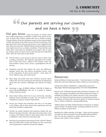# Our parents are serving our country 66<br>" and we have a hero.

Did you know nearly 95 percent of military teens don't attend Department of Defense schools? Only about 35 percent of active duty military families even live in military housing. Though children of service members are part of the unique military culture, they spend most of their time in the local community. They play sports, join clubs, and even see doctors in your neighborhood. Also, there are more than 700,000 National Guard and Reserve kids who might never live on a military installation. These families look within their community for friendship and support. But to reach our military youth, we have to know who they are and understand them. Here are a few ways to get started:

- Poll the teens in your group to see how many of them have a military connection. You might be surprised by the number. Even if they don't have a parent in the military, many may have brothers, sisters, aunts, uncles, or grandparents who are serving.
- Familiarize yourself with military life. Learn the differences between active duty and reserve component service. Look at the uniqueness of each service branch— Army, Navy, Air Force, Marine Corps, and Coast Guard.
- Read blogs and books that have firsthand accounts about military life. You'll be surprised by the diversity of experiences along with the common challenges and rewards of military life.
- Download a copy of NMFA's Military Child Bill of Rights at *www.nmfa.org/BillofRights* and use it as guide to support military teens you know.
- $\star$  Know where military teens live in your community, including National Guard and Reserve youth. You can search for local installations using the resource listed below.
- Survey your friends and coworkers. Ask who is or has been in the military. Talk to them about their experiences and ask about their children's experiences.
- Schools can assign literature that examines military life and features teenage characters. Talk about the book with a class or group. Ask military youth for input about what's the same or different in their lives from what they read.
- Educate your group about reaching out to the "new kid." Military teens are often told to make new friends, but the community must reciprocate to make the connection happen.



#### Resources:

National Military Family Association – find information on military family life and issues affecting military children at *www.nmfa.org*.

Listing of all military installations—organized by service at *http://apps.mhf.dod.mil/pls/psgprod/f?p=107:7:453 955382099448*.

Resource list of National Guard Family Assistance Programs in all states—the support provided by the family assistance centers is available for families of all military Services in the communities served. The National Guard also sponsors specialized activities for children and teens that may be an option for families living far from a military installation: *www.guardfamily.org*

"Military Brats and Other Global Nomads: Growing Up in Organization Families" by Morten Ender, sociology professor at the U.S. Military Academy at West Point.

Booklists for military families of all ages – check out the sections on books for teens and adults at *www.booksformilitarychildren. info*. The site was created by a military spouse who is also a librarian and mother of four children.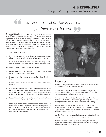## 6. recognition

We appreciate recognition of our family's service.

# I am really thankful for everything 66<br>"" you have done for me.

Programs, praise, & bargain deals for military families have peppered the country—and teens have noticed. Operation Purple campers clearly understood the value of getting free or reduced-price services such as the free week of summer camp. It reminds them that someone cares about them and understands life is sometimes tough for military families. Of course they need to have a balance of tangible and intangible support. Here are some ways to do both:

- Say thanks to the teen!
- Fly your flag, wear a pin, or display a "support our troops" ribbon—then sustain it with actions. Yes, teens do notice.
- Have class members interview and write an essay about a service member. Then share the stories with the entire class.
- $\star$  Write "thank you" notes to deployed troops.
- Celebrate the Month of the Military Child in April and National Military Appreciation Month in May.
- Donate to a military charity in honor of a military family you know.
- Donate items to local VA hospitals with recuperating veterans.
- $\star$  Ensure school counselors and mentors are aware of scholarships exclusively for military teens. The American Legion publishes a financial aid quide available through their website titled "Need a Lift," which lists many military child scholarship programs.
- Support initiatives that provide better education, health care, and recreational activities for military teens.
- $\star$  Schools, places of worship, or doctor's offices can create wall space recognizing the deployed parents of military teens. Use photos or short stories to highlight them. It also serves as a constant reminder that there are men and women in uniform living in your neighborhood.



#### Resources:

National Military Family Association – follow local initiatives that support military families at *www.nmfa.org*.

America Supports You – A Department of Defense program that provides opportunities for citizens to show support for service members at *www.americasupportsyou.mil*.

USO – a nonprofit organization that provides morale, welfare and recreation activities for American troops, including care package stuffing parties for those deployed overseas at www.uso.org.

Veterans Affairs facility locator – Find your local VA facility for service activities or to plug your teen into a local support group for family members of combat veterans at *www1.va.gov/directory/ guide/home.asp?isFlash=1*.

Let's Say Thanks – pick and send a free postcard with a thank you message to troops overseas at *www.letssaythanks.com*.

"Need a Lift" is financial aid guide published by the American Legion and information to order a copy is available at *www.legion. org/programs/resources/scholarships*.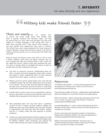## 7. diversity

We value diversity and new experiences.

# Military kids make friends faster. " "

There are nearly 500 U.S. military bases around the world. Some active duty families have lived in popular locations like Germany, Japan, and Italy for several years at a time. Teens and pre-teens may have even picked up a foreign language or two during their mom or dad's tours overseas. Even if they haven't lived overseas, active duty families have experienced many parts of America. The Armed Forces also closely represents the racial makeup of America. Between moving and the diverse nature of the Service, military youth have grown up in an environment that reflects the real world.

National Guard and Reserve teens know what it's like to have a parent suddenly switch jobs and deploy overseas, then return changed and make the transition back to their civilian life. No matter the Service, military youth have embraced the positive parts of change. What an incredible life lesson to learn so young! Draw from their experiences this way:

- Use them as classroom resources. Globetrotting teens can offer a priceless first-hand perspective about other cultures and places to other students.Ask them to share treasures acquired from other regions, countries, or cultures.
- $\star$  Military youth are used to seeing leaders who work with lots of different people. Tap into their observations and ask them to be mentors. They can help new kids become oriented to the area, serve on diversity councils at school, or help bring multicultural students into clubs and extracurricular activities.
- $\star$  Include military youth as part of your organization's advisory group or teen panel. As local and world travelers, they bring a valuable diverse perspective that should be counted.
- Help graduating teens who may have spent a significant amount of time in foreign countries research colleges and professions they may not be familiar with. Get them involved in organizations that help them find their talents, whether that be in a military career like their parent(s) or another profession.
- Contact your state representatives and then support your state by joining the Interstate Compact on Educational Opportunity for Military Children, which recognizes and supports the mobile military family and values a worldwide education.



#### Resources:

4-H Military Partnerships – 4-H has special programs for the development of military youth. Check out the services at *www.4hmilitarypartnerships.org*.

Future Business Leaders of America – helping teens build leadership skills and confidence for more than 60 years at *www.fbla-pbl.org.* 

MCEC Teen Stories – Watch military teens talk about what it's like to live in other countries in the video Student 2 Student at *www.youtube.com/MilitaryChild*.

*www.Myclubmylife.com* – a teen social and educational site from the Boys & Girls Clubs of America, where more than 80 percent of members are minorities.

To learn more about the Interstate Compact on Educational Opportunity for Military Children visit *www.csg.org/programs/ ncic/EducatingMilitaryChildrenCompact.aspx*.

Military Community Youth Ministries, *www.mcym.org*, is a nondenominational Christian Ministry reaching out to military teens in more than 40 military communities.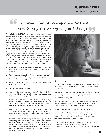# I'm turning into a teenager and he's not 66<br>" here to help me on my way as I change.  $\mathcal{G}$

Military teens said they missed their military parents and in more ways than one. First, service members are gone a lot. Deployments take parents away for months at a time. Temporary duty, training, or necessary separations, such as a family staying behind so children can finish the school year, also bring absences. Birthdays, holidays, and family vacations often occur without the service member parent present. Then, there is another kind of missing called "ambiguous loss." Returning from a combat deployment, the parent may be a different person. Those suffering from Post-Traumatic Stress Disorder or physical injury may have striking differences from when they last saw their teen. Military teens miss the parent they had before the deployment, but it's not something they can really explain or change. This is compounded by the natural, personal changes a teen experiences during adolescence. You can't bring the parent back, but you can use these strategies to strengthen the teen/parent bond:

- Have teens write to deployed parents about their daily lives—what they're doing in school, sports, clubs, or house of worship.
- Teens need peer groups. If you've surveyed your organization and know who the military teens are, create a group just for them and those who support them.
- Use social networking platforms to reach them in the places where they already hang out.
- Tell them it's ok to ask for help.
- $\star$  Work with the school to establish times for phone calls if the time zone difference is interfering with the teen's opportunity to talk to their deployed parent.
- $\star$  Don't let teens miss out on special activities or rites of passage. While a parent can't be replaced, the event can still be treasured. Ask an uncle to attend a father/daughter dance or arrange to video tape special events like graduation ceremonies.
- $\star$  Include the deployed parent's e-mail address on your PTA, sports booster, or youth group parent e-mail list so they can receive your newsletter and other information about the activities that mean a lot to their teen.
- + Understand that teens facing a parent's deployment or celebrating their return may need to find a new balance between family time and their normal routine. Follow the family's lead: be flexible in allowing for absences from activities to accommodate family reunions while also realizing the teen may need time with peers as they and their family adjust after the service member's return.



#### Resources:

"Finding My Way: A Teen's Guide to Living with a Parent Who Has Experienced Trauma" by Michelle D. Sherman, Ph.D. and DeAnne M. Sherman.

Battlemind - a multimedia resource designed by the Army to prepare service members and families for deployments and reunions. Check out the videos, files and worksheets created for teens at *www.battlemind.army.mil*.

Tip sheets for parents, teachers, and administrators about how to build connectivity for military students' academic success at *www.jhsph.edu/mci/resources/School%20Connectedness*.

Operation Military Kids at *www.operationmilitarykids.org*.

Psych First Aid for Military Families is a PowerPoint presentation geared at providing helpful techniques for dealing with families in crisis. Visit *www.usmc-mccs.org/cosc/conference/sessions.cfm* and find the presentation in Tuesday's agenda.

American Academy of Pediatrics developed a site dedicated to the support of military children and adolescence at *www.aap.org/sections/uniformedservices/deployment/resources.html*.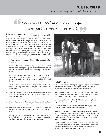# Sometimes I feel like I want to quit **66** and just be normal for a bit.

What's normal? Whatever it is, it's something teens strive for during adolescence. And even though they may use military acronyms in their speech or have traveled to five states and two foreign countries before their 16th birthday, they are teens just like all the rest. They want to fit in, make friends, and have fun. One way to deal with the challenges of military life is to help them see what they have in common with other teens. It gets their mind off themselves for a while and they may even find coping strategies from other teen groups. Also, maintaining a sense of normalcy is key to getting through deployments. Here are suggestions that can bring military teens and other teens together:

- Offer a class about transitions. Many children can benefit from this advice.
- $\star$  Don't treat military teens differently. Changing your behavior toward them may signal pity and insincerity and no one likes that. In one military teen's words, "Don't cozy up to me. That's creepy."
- $\star$  Older siblings of large families, single parent homes, or families in rural areas often have extra responsibilities. They could swap stories with military teens about how they juggle it all.
- Teach all teens how to deal with change or loss. Whether it's a break up or a big move, change is a part of life that everyone experiences.
- Teens of deceased or disabled parents can share experiences with military teens whose parents are injured or suffering from traumatic memories.
- Expand their horizons. Do an exercise that emphasizes what all teens have in common. Explore teens' lives in other cultures.
- Create a buddy system that brings new teens into a community quickly. This could be through a school, house of worship, or club.
- Organize a travelers' club. Military teens will make new friends and find something in common with other non-military families who share a diverse traveling experience.



#### Resources:

Learn how to start your own peer support program for transitioning students and view a list of S2S programs in your area at *www.militarychild.org/child-student/student-2-student*.

Learn about a successful Student 2 Student program that brought new kids into a community through student and teacher partnerships at *www.kdhnews.com/news/story.aspx?s=26829*.

Take a course from the Military Child Initiative for people interacting with military youth at *www.jhsph.edu/mci/training\_course*.

Visit a teen social and educational site from the Boys & Girls Clubs of America at *www.myclubmylife.com*.

Teen L.I.N.K.S. (Lifestyle, Insights, Networking, Knowledge and Skills) – Modeled after a Marine program for Marine spouses, this program has been tailored for military teens. Contact your local Marine base for information on how you can connect a Marine teen with this support group.

Boys & Girls Clubs of America Military Support – with more than 350 military youth centers around the world, this is a place where military teens can feel at home, no matter where that is. Visit *www.bgca.org/partners/military* for more information.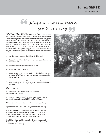# Being a military kid teaches **66** you to be strong.

Strength, perseverance, and sacrifice are words we associate with our troops. But these are the same traits we see in military teens. They send care packages to their military parent when they are fighting overseas. They take on new tasks when situations change in their families. They grow up with a sense of community and service to country. While they do it for their family, they're sustaining their service member for America, too. Celebrate their achievements. Recognize their efforts to the country. Use these strategies as an opportunity to empower all youth and the powerful contributions they can make in their communities:

- Celebrate the Month of the Military Child in April.
- Support legislation that provides new opportunities for military youth.
- Send them to an *Operation Purple®* camp.
- Nominate them for awards.
- + Download a copy of the NMFA Military Child Bill of Rights at *www. nmfa.org/BillofRights* and use it as a guide to support military teens you know.
- Tell them you're proud of them! Sometimes they just need to hear that they're doing a great job for their family and their country.

#### Resources:

Locate an *Operation Purple* Camp near you – visit *www.operationpurple.org*.

Information about Month of the Military Child can be found at *www.eu.dodea.edu/features/080401\_militaryChild.php*.

Military Child Education Coalition at *www.militarychild.org*.

Operation Military Kids – visit *www.operationmilitarykids.org*.

Boys and Girls Clubs of America National Youth of the Year Program – BGCA members are recognized for overcoming obstacles and making outstanding contributions to their school, family and community at *www.bgca.org/YOY*.

Our Military Kids - activity grants for children of deployed National Guard or Reserve service members and those of the wounded at *www.omk.org*.